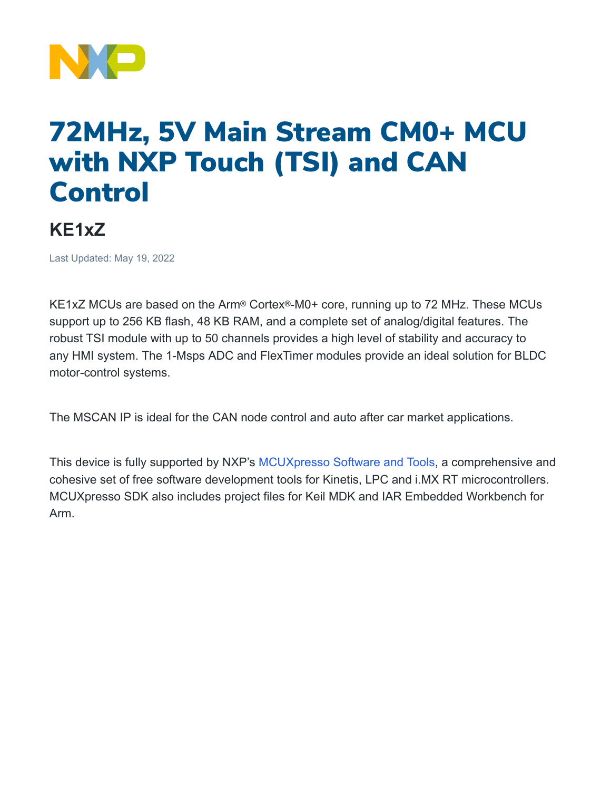

## 72MHz, 5V Main Stream CM0+ MCU with NXP Touch (TSI) and CAN Control

## **KE1xZ**

Last Updated: May 19, 2022

KE1xZ MCUs are based on the Arm® Cortex®-M0+ core, running up to 72 MHz. These MCUs support up to 256 KB flash, 48 KB RAM, and a complete set of analog/digital features. The robust TSI module with up to 50 channels provides a high level of stability and accuracy to any HMI system. The 1-Msps ADC and FlexTimer modules provide an ideal solution for BLDC motor-control systems.

The MSCAN IP is ideal for the CAN node control and auto after car market applications.

This device is fully supported by NXP's [MCUXpresso](https://www.nxp.com/design/software/development-software/mcuxpresso-software-and-tools-:MCUXPRESSO) Software and Tools, a comprehensive and cohesive set of free software development tools for Kinetis, LPC and i.MX RT microcontrollers. MCUXpresso SDK also includes project files for Keil MDK and IAR Embedded Workbench for Arm.